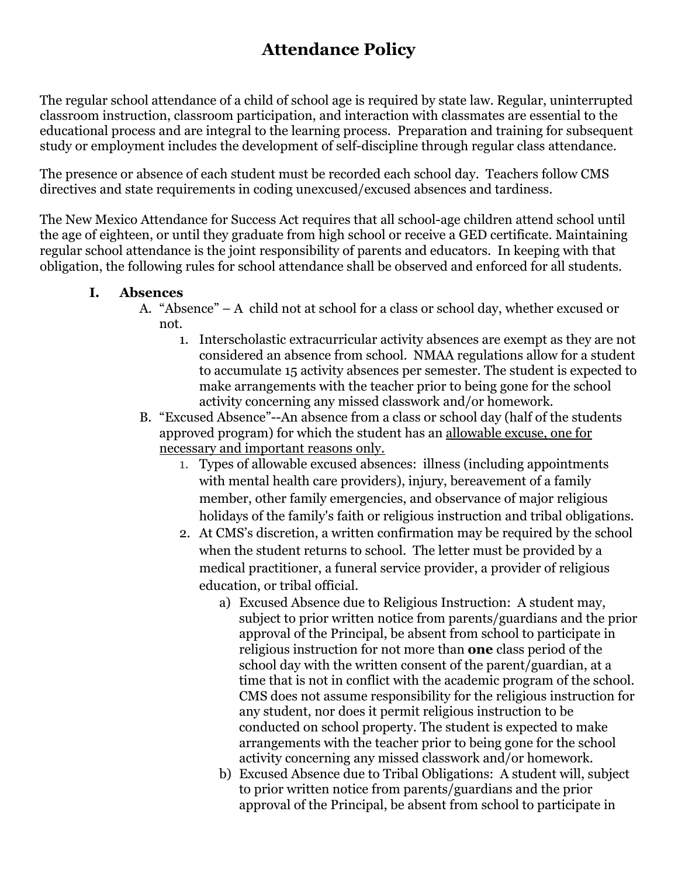# **Attendance Policy**

The regular school attendance of a child of school age is required by state law. Regular, uninterrupted classroom instruction, classroom participation, and interaction with classmates are essential to the educational process and are integral to the learning process. Preparation and training for subsequent study or employment includes the development of self-discipline through regular class attendance.

The presence or absence of each student must be recorded each school day. Teachers follow CMS directives and state requirements in coding unexcused/excused absences and tardiness.

The New Mexico Attendance for Success Act requires that all school-age children attend school until the age of eighteen, or until they graduate from high school or receive a GED certificate. Maintaining regular school attendance is the joint responsibility of parents and educators. In keeping with that obligation, the following rules for school attendance shall be observed and enforced for all students.

### **I. Absences**

- A. "Absence" A child not at school for a class or school day, whether excused or not.
	- 1. Interscholastic extracurricular activity absences are exempt as they are not considered an absence from school. NMAA regulations allow for a student to accumulate 15 activity absences per semester. The student is expected to make arrangements with the teacher prior to being gone for the school activity concerning any missed classwork and/or homework.
- B. "Excused Absence"--An absence from a class or school day (half of the students approved program) for which the student has an allowable excuse, one for necessary and important reasons only.
	- 1. Types of allowable excused absences: illness (including appointments with mental health care providers), injury, bereavement of a family member, other family emergencies, and observance of major religious holidays of the family's faith or religious instruction and tribal obligations.
	- 2. At CMS's discretion, a written confirmation may be required by the school when the student returns to school. The letter must be provided by a medical practitioner, a funeral service provider, a provider of religious education, or tribal official.
		- a) Excused Absence due to Religious Instruction: A student may, subject to prior written notice from parents/guardians and the prior approval of the Principal, be absent from school to participate in religious instruction for not more than **one** class period of the school day with the written consent of the parent/guardian, at a time that is not in conflict with the academic program of the school. CMS does not assume responsibility for the religious instruction for any student, nor does it permit religious instruction to be conducted on school property. The student is expected to make arrangements with the teacher prior to being gone for the school activity concerning any missed classwork and/or homework.
		- b) Excused Absence due to Tribal Obligations: A student will, subject to prior written notice from parents/guardians and the prior approval of the Principal, be absent from school to participate in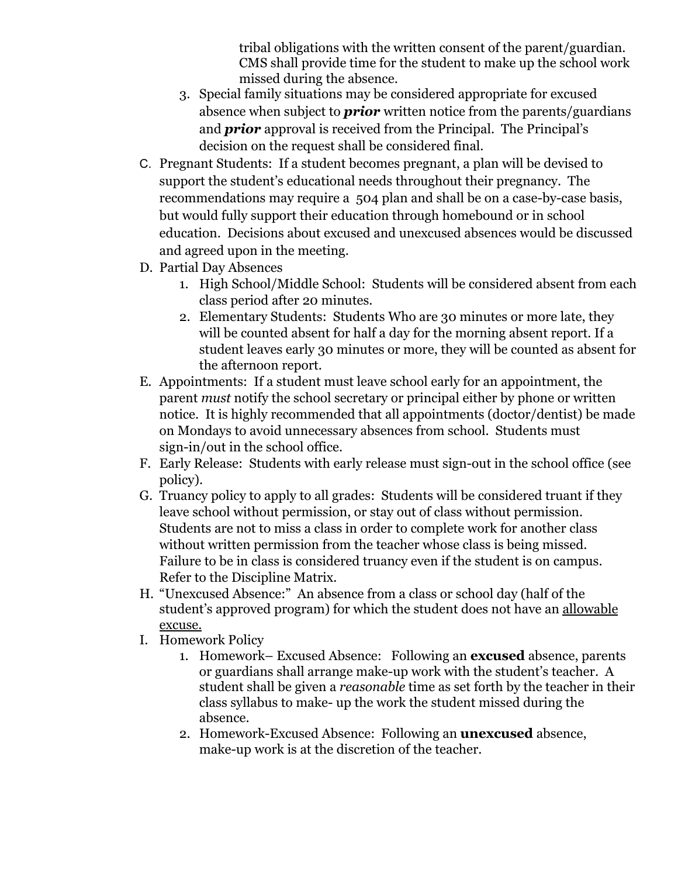tribal obligations with the written consent of the parent/guardian. CMS shall provide time for the student to make up the school work missed during the absence.

- 3. Special family situations may be considered appropriate for excused absence when subject to *prior* written notice from the parents/guardians and *prior* approval is received from the Principal. The Principal's decision on the request shall be considered final.
- C. Pregnant Students: If a student becomes pregnant, a plan will be devised to support the student's educational needs throughout their pregnancy. The recommendations may require a 504 plan and shall be on a case-by-case basis, but would fully support their education through homebound or in school education. Decisions about excused and unexcused absences would be discussed and agreed upon in the meeting.
- D. Partial Day Absences
	- 1. High School/Middle School: Students will be considered absent from each class period after 20 minutes.
	- 2. Elementary Students: Students Who are 30 minutes or more late, they will be counted absent for half a day for the morning absent report. If a student leaves early 30 minutes or more, they will be counted as absent for the afternoon report.
- E. Appointments: If a student must leave school early for an appointment, the parent *must* notify the school secretary or principal either by phone or written notice. It is highly recommended that all appointments (doctor/dentist) be made on Mondays to avoid unnecessary absences from school. Students must sign-in/out in the school office.
- F. Early Release: Students with early release must sign-out in the school office (see policy).
- G. Truancy policy to apply to all grades: Students will be considered truant if they leave school without permission, or stay out of class without permission. Students are not to miss a class in order to complete work for another class without written permission from the teacher whose class is being missed. Failure to be in class is considered truancy even if the student is on campus. Refer to the Discipline Matrix.
- H. "Unexcused Absence:" An absence from a class or school day (half of the student's approved program) for which the student does not have an allowable excuse.
- I. Homework Policy
	- 1. Homework– Excused Absence: Following an **excused** absence, parents or guardians shall arrange make-up work with the student's teacher. A student shall be given a *reasonable* time as set forth by the teacher in their class syllabus to make- up the work the student missed during the absence.
	- 2. Homework-Excused Absence: Following an **unexcused** absence, make-up work is at the discretion of the teacher.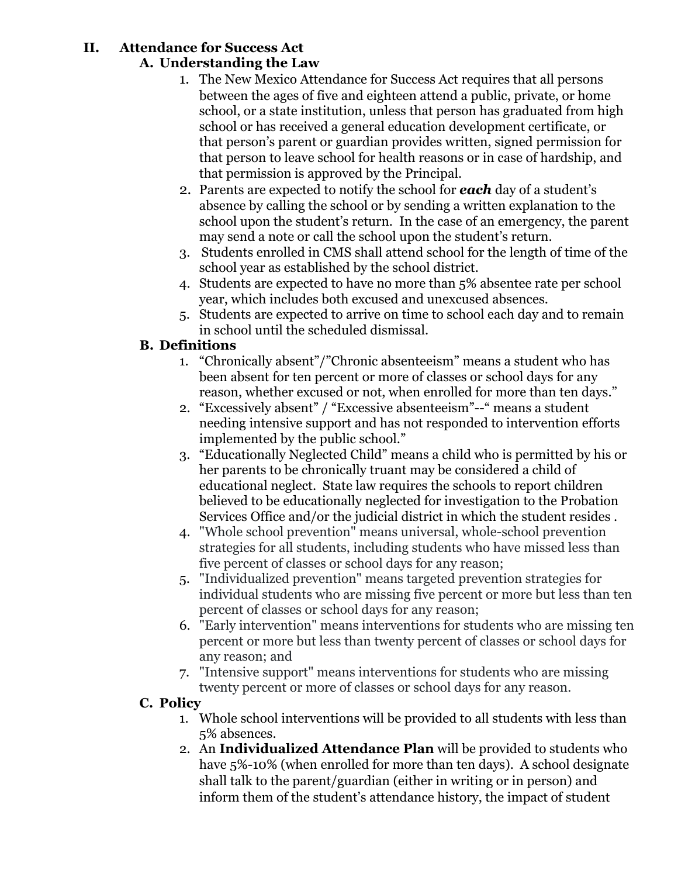#### **II. Attendance for Success Act A. Understanding the Law**

- 1. The New Mexico Attendance for Success Act requires that all persons between the ages of five and eighteen attend a public, private, or home school, or a state institution, unless that person has graduated from high school or has received a general education development certificate, or that person's parent or guardian provides written, signed permission for that person to leave school for health reasons or in case of hardship, and that permission is approved by the Principal.
- 2. Parents are expected to notify the school for *each* day of a student's absence by calling the school or by sending a written explanation to the school upon the student's return. In the case of an emergency, the parent may send a note or call the school upon the student's return.
- 3. Students enrolled in CMS shall attend school for the length of time of the school year as established by the school district.
- 4. Students are expected to have no more than 5% absentee rate per school year, which includes both excused and unexcused absences.
- 5. Students are expected to arrive on time to school each day and to remain in school until the scheduled dismissal.

# **B. Definitions**

- 1. "Chronically absent"/"Chronic absenteeism" means a student who has been absent for ten percent or more of classes or school days for any reason, whether excused or not, when enrolled for more than ten days."
- 2. "Excessively absent" / "Excessive absenteeism"--" means a student needing intensive support and has not responded to intervention efforts implemented by the public school."
- 3. "Educationally Neglected Child" means a child who is permitted by his or her parents to be chronically truant may be considered a child of educational neglect. State law requires the schools to report children believed to be educationally neglected for investigation to the Probation Services Office and/or the judicial district in which the student resides .
- 4. "Whole school prevention" means universal, whole-school prevention strategies for all students, including students who have missed less than five percent of classes or school days for any reason;
- 5. "Individualized prevention" means targeted prevention strategies for individual students who are missing five percent or more but less than ten percent of classes or school days for any reason;
- 6. "Early intervention" means interventions for students who are missing ten percent or more but less than twenty percent of classes or school days for any reason; and
- 7. "Intensive support" means interventions for students who are missing twenty percent or more of classes or school days for any reason.

## **C. Policy**

- 1. Whole school interventions will be provided to all students with less than 5% absences.
- 2. An **Individualized Attendance Plan** will be provided to students who have 5%-10% (when enrolled for more than ten days). A school designate shall talk to the parent/guardian (either in writing or in person) and inform them of the student's attendance history, the impact of student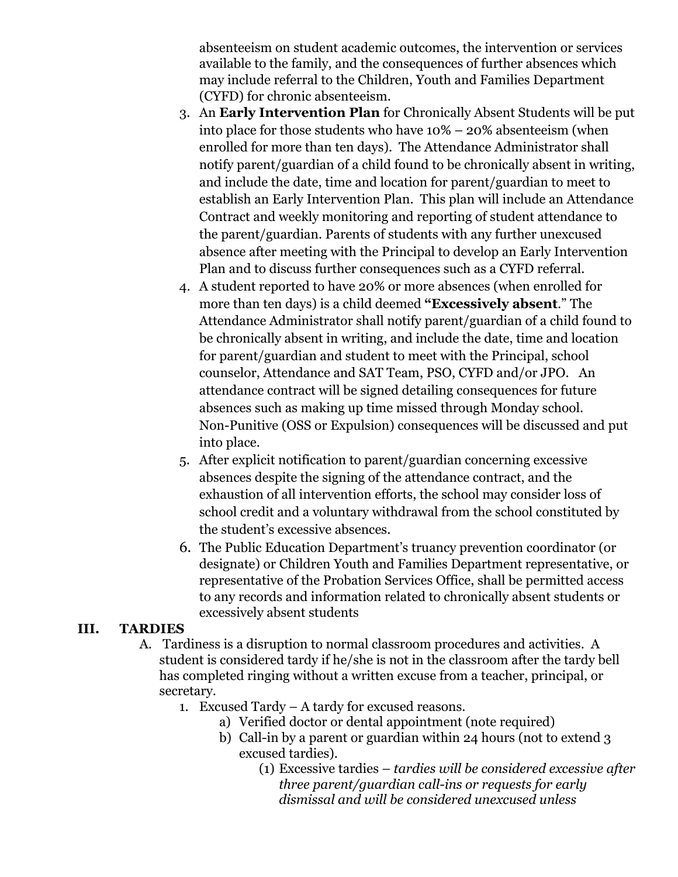absenteeism on student academic outcomes, the intervention or services available to the family, and the consequences of further absences which may include referral to the Children, Youth and Families Department (CYFD) for chronic absenteeism.

- 3. An **Early Intervention Plan** for Chronically Absent Students will be put into place for those students who have 10% – 20% absenteeism (when enrolled for more than ten days). The Attendance Administrator shall notify parent/guardian of a child found to be chronically absent in writing, and include the date, time and location for parent/guardian to meet to establish an Early Intervention Plan. This plan will include an Attendance Contract and weekly monitoring and reporting of student attendance to the parent/guardian. Parents of students with any further unexcused absence after meeting with the Principal to develop an Early Intervention Plan and to discuss further consequences such as a CYFD referral.
- 4. A student reported to have 20% or more absences (when enrolled for more than ten days) is a child deemed **"Excessively absent**." The Attendance Administrator shall notify parent/guardian of a child found to be chronically absent in writing, and include the date, time and location for parent/guardian and student to meet with the Principal, school counselor, Attendance and SAT Team, PSO, CYFD and/or JPO. An attendance contract will be signed detailing consequences for future absences such as making up time missed through Monday school. Non-Punitive (OSS or Expulsion) consequences will be discussed and put into place.
- 5. After explicit notification to parent/guardian concerning excessive absences despite the signing of the attendance contract, and the exhaustion of all intervention efforts, the school may consider loss of school credit and a voluntary withdrawal from the school constituted by the student's excessive absences.
- 6. The Public Education Department's truancy prevention coordinator (or designate) or Children Youth and Families Department representative, or representative of the Probation Services Office, shall be permitted access to any records and information related to chronically absent students or excessively absent students

#### **III. TARDIES**

- A. Tardiness is a disruption to normal classroom procedures and activities. A student is considered tardy if he/she is not in the classroom after the tardy bell has completed ringing without a written excuse from a teacher, principal, or secretary.
	- 1. Excused Tardy A tardy for excused reasons.
		- a) Verified doctor or dental appointment (note required)
		- b) Call-in by a parent or guardian within 24 hours (not to extend 3 excused tardies).
			- (1) Excessive tardies *tardies will be considered excessive after three parent/guardian call-ins or requests for early dismissal and will be considered unexcused unless*